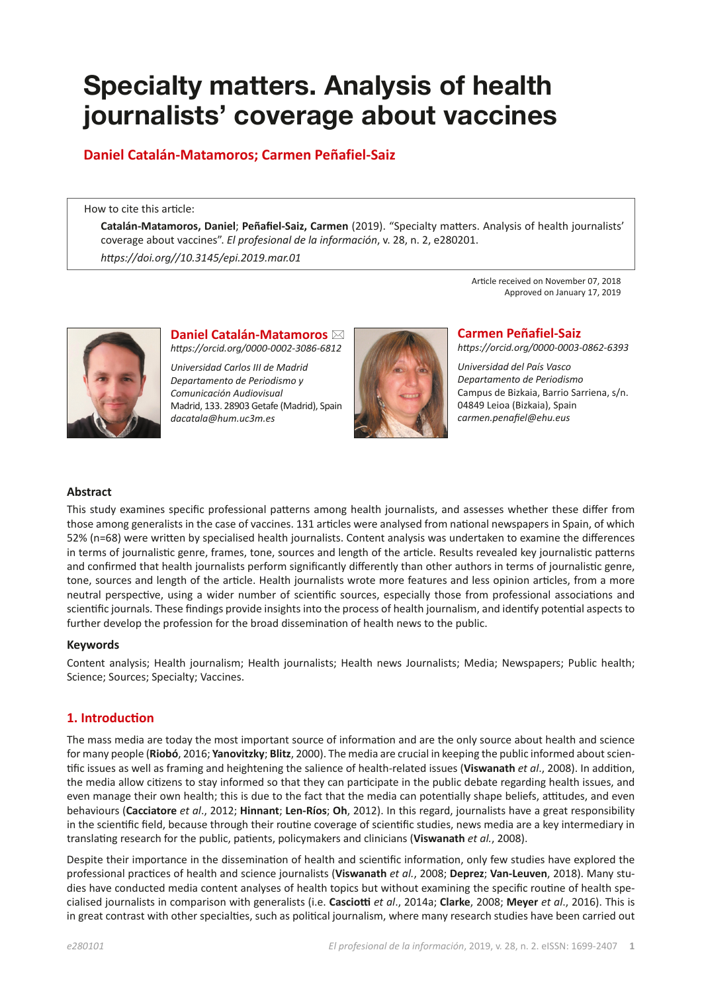# **Specialty matters. Analysis of health journalists' coverage about vaccines**

# **Daniel Catalán-Matamoros; Carmen Peñafiel-Saiz**

How to cite this article:

**Catalán-Matamoros, Daniel**; **Peñafiel-Saiz, Carmen** (2019). "Specialty matters. Analysis of health journalists' coverage about vaccines". *El profesional de la información*, v. 28, n. 2, e280201. *https://doi.org//10.3145/epi.2019.mar.01*

> Article received on November 07, 2018 Approved on January 17, 2019



**Daniel Catalán-Matamoros** ⊠ *https://orcid.org/0000-0002-3086-6812*

*Universidad Carlos III de Madrid Departamento de Periodismo y Comunicación Audiovisual* Madrid, 133. 28903 Getafe (Madrid), Spain *dacatala@hum.uc3m.es*



**Carmen Peñafiel-Saiz**

*https://orcid.org/0000-0003-0862-6393*

*Universidad del País Vasco Departamento de Periodismo* Campus de Bizkaia, Barrio Sarriena, s/n. 04849 Leioa (Bizkaia), Spain *carmen.penafiel@ehu.eus*

### **Abstract**

This study examines specific professional patterns among health journalists, and assesses whether these differ from those among generalists in the case of vaccines. 131 articles were analysed from national newspapers in Spain, of which 52% (n=68) were written by specialised health journalists. Content analysis was undertaken to examine the differences in terms of journalistic genre, frames, tone, sources and length of the article. Results revealed key journalistic patterns and confirmed that health journalists perform significantly differently than other authors in terms of journalistic genre, tone, sources and length of the article. Health journalists wrote more features and less opinion articles, from a more neutral perspective, using a wider number of scientific sources, especially those from professional associations and scientific journals. These findings provide insights into the process of health journalism, and identify potential aspects to further develop the profession for the broad dissemination of health news to the public.

#### **Keywords**

Content analysis; Health journalism; Health journalists; Health news Journalists; Media; Newspapers; Public health; Science; Sources; Specialty; Vaccines.

# **1. Introduction**

The mass media are today the most important source of information and are the only source about health and science for many people (**Riobó**, 2016; **Yanovitzky**; **Blitz**, 2000). The media are crucial in keeping the public informed about scientific issues as well as framing and heightening the salience of health-related issues (**Viswanath** *et al*., 2008). In addition, the media allow citizens to stay informed so that they can participate in the public debate regarding health issues, and even manage their own health; this is due to the fact that the media can potentially shape beliefs, attitudes, and even behaviours (**Cacciatore** *et al*., 2012; **Hinnant**; **Len-Ríos**; **Oh**, 2012). In this regard, journalists have a great responsibility in the scientific field, because through their routine coverage of scientific studies, news media are a key intermediary in translating research for the public, patients, policymakers and clinicians (**Viswanath** *et al.*, 2008).

Despite their importance in the dissemination of health and scientific information, only few studies have explored the professional practices of health and science journalists (**Viswanath** *et al.*, 2008; **Deprez**; **Van-Leuven**, 2018). Many studies have conducted media content analyses of health topics but without examining the specific routine of health specialised journalists in comparison with generalists (i.e. **Casciotti** *et al*., 2014a; **Clarke**, 2008; **Meyer** *et al*., 2016). This is in great contrast with other specialties, such as political journalism, where many research studies have been carried out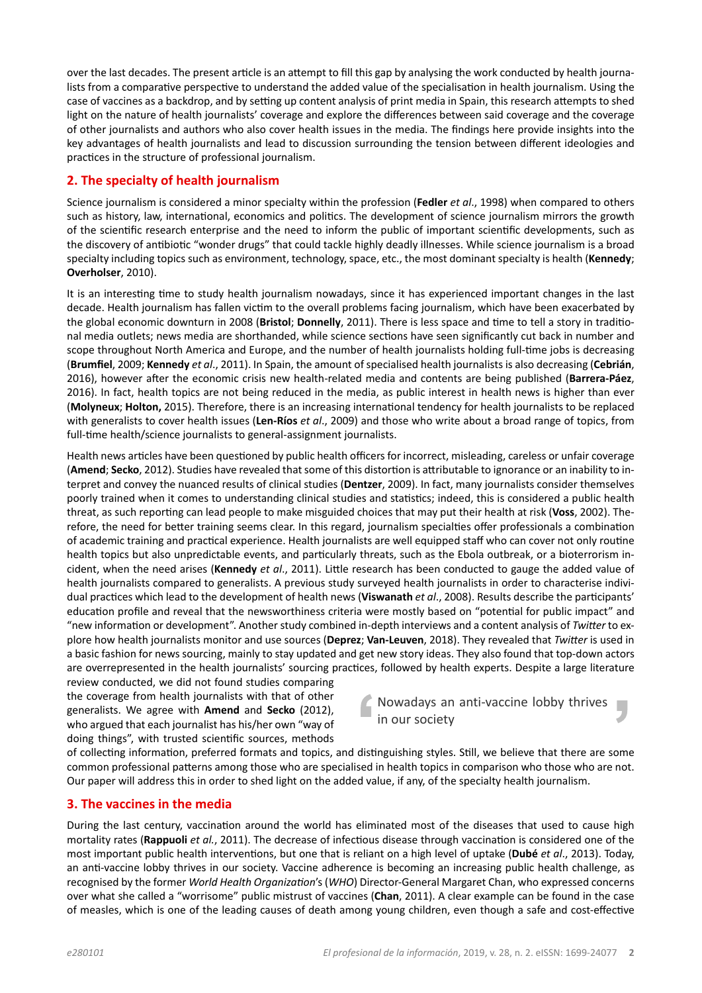over the last decades. The present article is an attempt to fill this gap by analysing the work conducted by health journalists from a comparative perspective to understand the added value of the specialisation in health journalism. Using the case of vaccines as a backdrop, and by setting up content analysis of print media in Spain, this research attempts to shed light on the nature of health journalists' coverage and explore the differences between said coverage and the coverage of other journalists and authors who also cover health issues in the media. The findings here provide insights into the key advantages of health journalists and lead to discussion surrounding the tension between different ideologies and practices in the structure of professional journalism.

# **2. The specialty of health journalism**

Science journalism is considered a minor specialty within the profession (Fedler *et al.*, 1998) when compared to others such as history, law, international, economics and politics. The development of science journalism mirrors the growth of the scientific research enterprise and the need to inform the public of important scientific developments, such as the discovery of antibiotic "wonder drugs" that could tackle highly deadly illnesses. While science journalism is a broad specialty including topics such as environment, technology, space, etc., the most dominant specialty is health (Kennedy; **Overholser**, 2010).

It is an interesting time to study health journalism nowadays, since it has experienced important changes in the last decade. Health journalism has fallen victim to the overall problems facing journalism, which have been exacerbated by the global economic downturn in 2008 (Bristol; Donnelly, 2011). There is less space and time to tell a story in traditional media outlets; news media are shorthanded, while science sections have seen significantly cut back in number and scope throughout North America and Europe, and the number of health journalists holding full-time jobs is decreasing (**Brumfiel**, 2009; **Kennedy** *et al.*, 2011). In Spain, the amount of specialised health journalists is also decreasing (Cebrián, 2016), however after the economic crisis new health-related media and contents are being published (Barrera-Páez, 2016). In fact, health topics are not being reduced in the media, as public interest in health news is higher than ever (Molyneux; Holton, 2015). Therefore, there is an increasing international tendency for health journalists to be replaced with generalists to cover health issues (Len-Ríos *et al.*, 2009) and those who write about a broad range of topics, from full-time health/science journalists to general-assignment journalists.

Health news articles have been questioned by public health officers for incorrect, misleading, careless or unfair coverage (**Amend**; **Secko**, 2012). Studies have revealed that some of this distortion is attributable to ignorance or an inability to interpret and convey the nuanced results of clinical studies (Dentzer, 2009). In fact, many journalists consider themselves poorly trained when it comes to understanding clinical studies and statistics; indeed, this is considered a public health threat, as such reporting can lead people to make misguided choices that may put their health at risk (Voss, 2002). Therefore, the need for better training seems clear. In this regard, journalism specialties offer professionals a combination of academic training and practical experience. Health journalists are well equipped staff who can cover not only routine health topics but also unpredictable events, and particularly threats, such as the Ebola outbreak, or a bioterrorism incident, when the need arises (Kennedy *et al.*, 2011). Little research has been conducted to gauge the added value of health journalists compared to generalists. A previous study surveyed health journalists in order to characterise individual practices which lead to the development of health news (Viswanath *et al.*, 2008). Results describe the participants' education profile and reveal that the newsworthiness criteria were mostly based on "potential for public impact" and "new information or development". Another study combined in-depth interviews and a content analysis of Twitter to explore how health journalists monitor and use sources (Deprez; Van-Leuven, 2018). They revealed that Twitter is used in a basic fashion for news sourcing, mainly to stay updated and get new story ideas. They also found that top-down actors are overrepresented in the health journalists' sourcing practices, followed by health experts. Despite a large literature

review conducted, we did not found studies comparing the coverage from health journalists with that of other generalists. We agree with **Amend** and **Secko** (2012), who argued that each journalist has his/her own "way of doing things", with trusted scientific sources, methods

Nowadays an anti-vaccine lobby thrives п in our society

of collecting information, preferred formats and topics, and distinguishing styles. Still, we believe that there are some common professional patterns among those who are specialised in health topics in comparison who those who are not. Our paper will address this in order to shed light on the added value, if any, of the specialty health journalism.

# **3. The vaccines in the media**

During the last century, vaccination around the world has eliminated most of the diseases that used to cause high mortality rates (Rappuoli *et al.*, 2011). The decrease of infectious disease through vaccination is considered one of the most important public health interventions, but one that is reliant on a high level of uptake (Dubé et al., 2013). Today, an anti-vaccine lobby thrives in our society. Vaccine adherence is becoming an increasing public health challenge, as recognised by the former World Health Organization's (WHO) Director-General Margaret Chan, who expressed concerns over what she called a "worrisome" public mistrust of vaccines (Chan, 2011). A clear example can be found in the case of measles, which is one of the leading causes of death among young children, even though a safe and cost-effective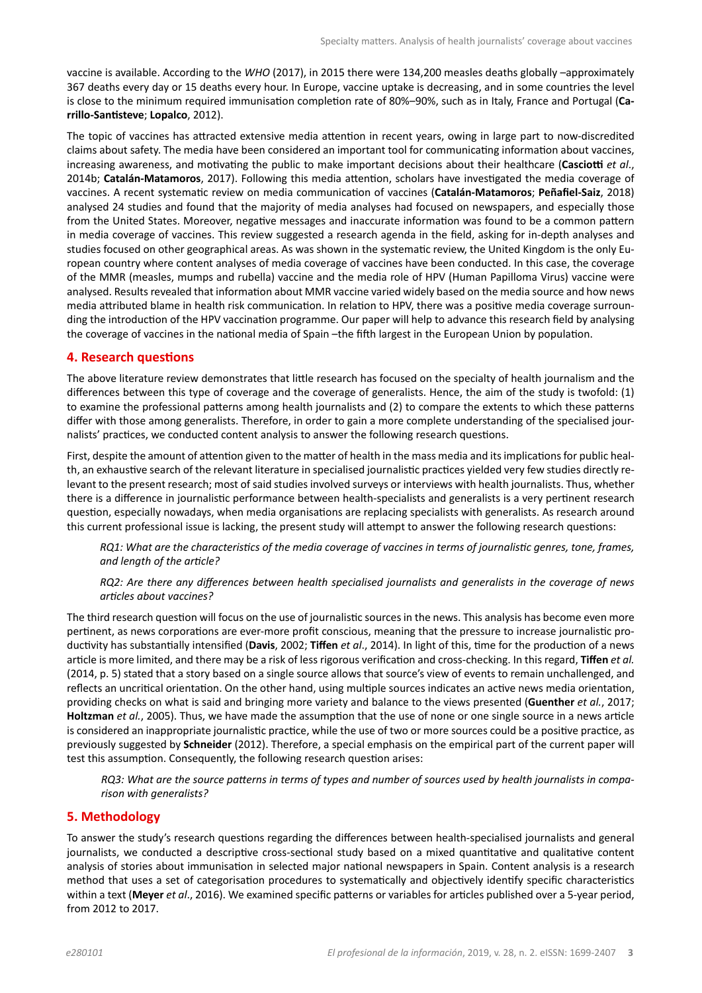vaccine is available. According to the WHO (2017), in 2015 there were 134,200 measles deaths globally -approximately 367 deaths every day or 15 deaths every hour. In Europe, vaccine uptake is decreasing, and in some countries the level is close to the minimum required immunisation completion rate of 80%-90%, such as in Italy, France and Portugal (Carrillo-Santisteve; Lopalco, 2012).

The topic of vaccines has attracted extensive media attention in recent years, owing in large part to now-discredited claims about safety. The media have been considered an important tool for communicating information about vaccines, increasing awareness, and motivating the public to make important decisions about their healthcare (Casciotti et al., 2014b; **Catalán-Matamoros**, 2017). Following this media attention, scholars have investigated the media coverage of vaccines. A recent systematic review on media communication of vaccines (Catalán-Matamoros; Peñafiel-Saiz, 2018) analysed 24 studies and found that the majority of media analyses had focused on newspapers, and especially those from the United States. Moreover, negative messages and inaccurate information was found to be a common pattern in media coverage of vaccines. This review suggested a research agenda in the field, asking for in-depth analyses and studies focused on other geographical areas. As was shown in the systematic review, the United Kingdom is the only European country where content analyses of media coverage of vaccines have been conducted. In this case, the coverage of the MMR (measles, mumps and rubella) vaccine and the media role of HPV (Human Papilloma Virus) vaccine were analysed. Results revealed that information about MMR vaccine varied widely based on the media source and how news media attributed blame in health risk communication. In relation to HPV, there was a positive media coverage surrounding the introduction of the HPV vaccination programme. Our paper will help to advance this research field by analysing the coverage of vaccines in the national media of Spain -the fifth largest in the European Union by population.

#### **4. Research questions**

The above literature review demonstrates that little research has focused on the specialty of health journalism and the differences between this type of coverage and the coverage of generalists. Hence, the aim of the study is twofold: (1) to examine the professional patterns among health journalists and (2) to compare the extents to which these patterns differ with those among generalists. Therefore, in order to gain a more complete understanding of the specialised journalists' practices, we conducted content analysis to answer the following research questions.

First, despite the amount of attention given to the matter of health in the mass media and its implications for public health, an exhaustive search of the relevant literature in specialised journalistic practices yielded very few studies directly relevant to the present research; most of said studies involved surveys or interviews with health journalists. Thus, whether there is a difference in journalistic performance between health-specialists and generalists is a very pertinent research guestion, especially nowadays, when media organisations are replacing specialists with generalists. As research around this current professional issue is lacking, the present study will attempt to answer the following research questions:

*RQ1: What are the characteristics of the media coverage of vaccines in terms of journalistic genres, tone, frames,* and length of the article?

*RQ2: Are there any differences between health specialised journalists and generalists in the coverage of news* articles about vaccines?

The third research question will focus on the use of journalistic sources in the news. This analysis has become even more pertinent, as news corporations are ever-more profit conscious, meaning that the pressure to increase journalistic productivity has substantially intensified (Davis, 2002; Tiffen et al., 2014). In light of this, time for the production of a news article is more limited, and there may be a risk of less rigorous verification and cross-checking. In this regard, Tiffen et al. (2014, p. 5) stated that a story based on a single source allows that source's view of events to remain unchallenged, and reflects an uncritical orientation. On the other hand, using multiple sources indicates an active news media orientation, providing checks on what is said and bringing more variety and balance to the views presented (Guenther *et al.*, 2017; Holtzman *et al.*, 2005). Thus, we have made the assumption that the use of none or one single source in a news article is considered an inappropriate journalistic practice, while the use of two or more sources could be a positive practice, as previously suggested by **Schneider** (2012). Therefore, a special emphasis on the empirical part of the current paper will test this assumption. Consequently, the following research question arises:

 $RQ3$ : What are the source patterns in terms of types and number of sources used by health journalists in compa*rison with generalists?* 

# **5. Methodology**

To answer the study's research questions regarding the differences between health-specialised journalists and general journalists, we conducted a descriptive cross-sectional study based on a mixed quantitative and qualitative content analysis of stories about immunisation in selected major national newspapers in Spain. Content analysis is a research method that uses a set of categorisation procedures to systematically and objectively identify specific characteristics within a text (Meyer *et al.*, 2016). We examined specific patterns or variables for articles published over a 5-year period, from 2012 to 2017.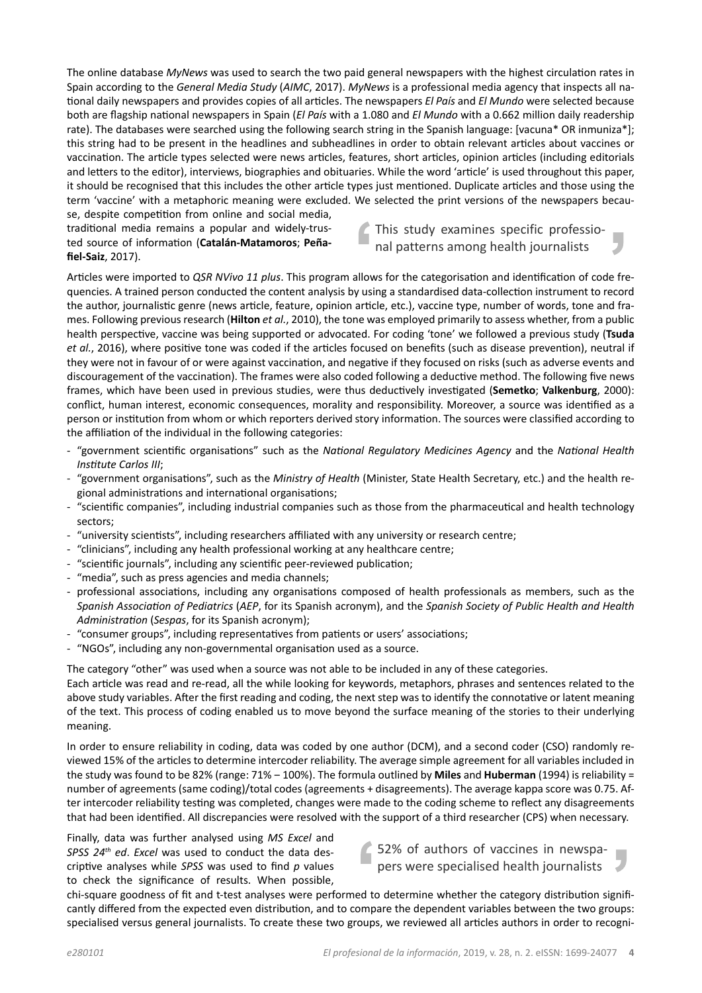The online database MyNews was used to search the two paid general newspapers with the highest circulation rates in Spain according to the *General Media Study* (*AIMC*, 2017). *MyNews* is a professional media agency that inspects all national daily newspapers and provides copies of all articles. The newspapers *El País* and *El Mundo* were selected because both are flagship national newspapers in Spain (*El País* with a 1.080 and *El Mundo* with a 0.662 million daily readership rate). The databases were searched using the following search string in the Spanish language: [vacuna\* OR inmuniza\*]; this string had to be present in the headlines and subheadlines in order to obtain relevant articles about vaccines or vaccination. The article types selected were news articles, features, short articles, opinion articles (including editorials and letters to the editor), interviews, biographies and obituaries. While the word 'article' is used throughout this paper, it should be recognised that this includes the other article types just mentioned. Duplicate articles and those using the term 'vaccine' with a metaphoric meaning were excluded. We selected the print versions of the newspapers because, despite competition from online and social media,

traditional media remains a popular and widely-trusted source of information (Catalán-Matamoros; Peñafiel-Saiz, 2017).

This study examines specific professional patterns among health journalists

Articles were imported to QSR NVivo 11 plus. This program allows for the categorisation and identification of code frequencies. A trained person conducted the content analysis by using a standardised data-collection instrument to record the author, journalistic genre (news article, feature, opinion article, etc.), vaccine type, number of words, tone and frames. Following previous research (Hilton *et al.*, 2010), the tone was employed primarily to assess whether, from a public health perspective, vaccine was being supported or advocated. For coding 'tone' we followed a previous study (Tsuda et al., 2016), where positive tone was coded if the articles focused on benefits (such as disease prevention), neutral if they were not in favour of or were against vaccination, and negative if they focused on risks (such as adverse events and discouragement of the vaccination). The frames were also coded following a deductive method. The following five news frames, which have been used in previous studies, were thus deductively investigated (Semetko; Valkenburg, 2000): conflict, human interest, economic consequences, morality and responsibility. Moreover, a source was identified as a person or institution from whom or which reporters derived story information. The sources were classified according to the affiliation of the individual in the following categories:

- "government scientific organisations" such as the National Regulatory Medicines Agency and the National Health *<i>Institute Carlos III*;
- "government organisations", such as the *Ministry of Health* (Minister, State Health Secretary, etc.) and the health regional administrations and international organisations;
- "scientific companies", including industrial companies such as those from the pharmaceutical and health technology sectors;
- "university scientists", including researchers affiliated with any university or research centre;
- "clinicians", including any health professional working at any healthcare centre;
- "scientific journals", including any scientific peer-reviewed publication;
- "media", such as press agencies and media channels;
- professional associations, including any organisations composed of health professionals as members, such as the *Spanish Association of Pediatrics (AEP*, for its Spanish acronym), and the Spanish Society of Public Health and Health *Administration (Sespas, for its Spanish acronym);*
- "consumer groups", including representatives from patients or users' associations;
- "NGOs", including any non-governmental organisation used as a source.

The category "other" was used when a source was not able to be included in any of these categories.

Each article was read and re-read, all the while looking for keywords, metaphors, phrases and sentences related to the above study variables. After the first reading and coding, the next step was to identify the connotative or latent meaning of the text. This process of coding enabled us to move beyond the surface meaning of the stories to their underlying meaning.

In order to ensure reliability in coding, data was coded by one author (DCM), and a second coder (CSO) randomly reviewed 15% of the articles to determine intercoder reliability. The average simple agreement for all variables included in the study was found to be 82% (range: 71% - 100%). The formula outlined by **Miles** and **Huberman** (1994) is reliability = number of agreements (same coding)/total codes (agreements + disagreements). The average kappa score was 0.75. After intercoder reliability testing was completed, changes were made to the coding scheme to reflect any disagreements that had been identified. All discrepancies were resolved with the support of a third researcher (CPS) when necessary.

Finally, data was further analysed using MS Excel and *SPSS 24<sup>th</sup> ed. Excel* was used to conduct the data descriptive analyses while SPSS was used to find p values to check the significance of results. When possible,

↑ 52% of authors of vaccines in newspapers were specialised health journalists

chi-square goodness of fit and t-test analyses were performed to determine whether the category distribution significantly differed from the expected even distribution, and to compare the dependent variables between the two groups: specialised versus general journalists. To create these two groups, we reviewed all articles authors in order to recogni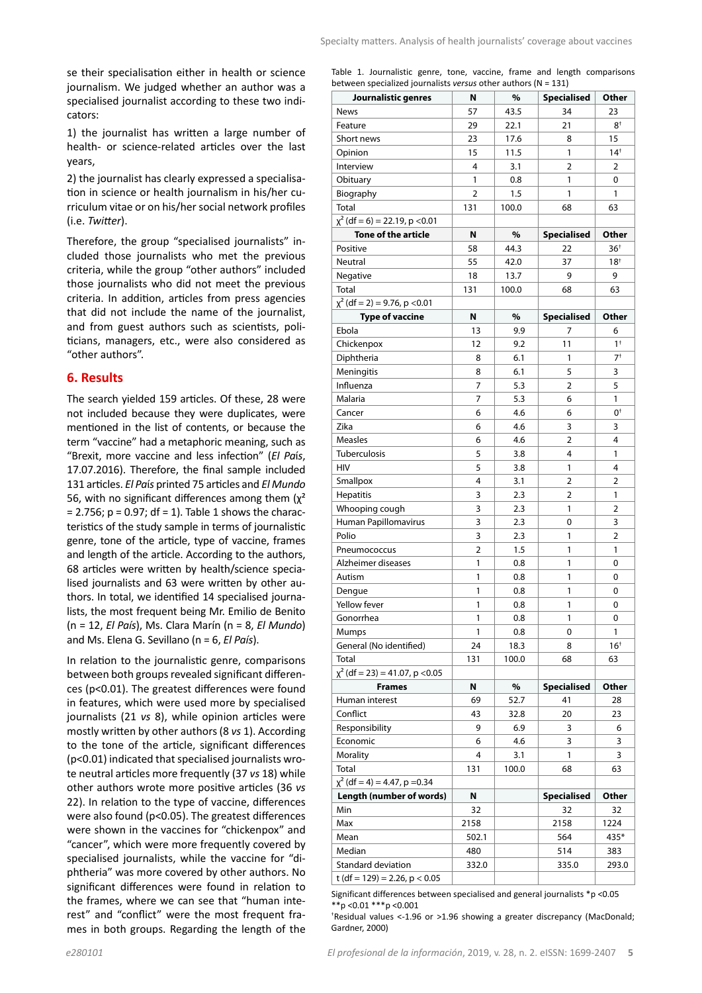Table 1. Journalistic genre, tone, vaccine, frame and length comparisons

se their specialisation either in health or science journalism. We judged whether an author was a specialised journalist according to these two indicators:

1) the journalist has written a large number of health- or science-related articles over the last years,

2) the journalist has clearly expressed a specialisation in science or health journalism in his/her curriculum vitae or on his/her social network profiles (i.e. *Twitter*).

Therefore, the group "specialised journalists" included those journalists who met the previous criteria, while the group "other authors" included those journalists who did not meet the previous criteria. In addition, articles from press agencies that did not include the name of the journalist, and from guest authors such as scientists, politicians, managers, etc., were also considered as "other authors".

#### **6. Results**

The search yielded 159 articles. Of these, 28 were not included because they were duplicates, were mentioned in the list of contents, or because the term "vaccine" had a metaphoric meaning, such as "Brexit, more vaccine and less infection" (El País, 17.07.2016). Therefore, the final sample included 131 articles. El País printed 75 articles and El Mundo 56, with no significant differences among them  $(x^2)$  $= 2.756$ ;  $p = 0.97$ ; df  $= 1$ ). Table 1 shows the characteristics of the study sample in terms of journalistic genre, tone of the article, type of vaccine, frames and length of the article. According to the authors, 68 articles were written by health/science specialised journalists and 63 were written by other authors. In total, we identified 14 specialised journalists, the most frequent being Mr. Emilio de Benito  $(n = 12, El País)$ , Ms. Clara Marín (n = 8, *El Mundo*) and Ms. Elena G. Sevillano (n = 6, El País).

In relation to the journalistic genre, comparisons between both groups revealed significant differences (p<0.01). The greatest differences were found in features, which were used more by specialised journalists (21 *vs* 8), while opinion articles were mostly written by other authors (8 vs 1). According to the tone of the article, significant differences (p<0.01) indicated that specialised journalists wrote neutral articles more frequently (37 vs 18) while other authors wrote more positive articles (36 vs 22). In relation to the type of vaccine, differences were also found ( $p$ <0.05). The greatest differences were shown in the vaccines for "chickenpox" and "cancer", which were more frequently covered by specialised journalists, while the vaccine for "diphtheria" was more covered by other authors. No significant differences were found in relation to the frames, where we can see that "human interest" and "conflict" were the most frequent frames in both groups. Regarding the length of the

| Journalistic genres                  | N     | %     | <b>Specialised</b> | Other           |
|--------------------------------------|-------|-------|--------------------|-----------------|
| <b>News</b>                          | 57    | 43.5  | 34                 | 23              |
| Feature                              | 29    | 22.1  | 21                 | 8 <sup>†</sup>  |
| Short news                           | 23    | 17.6  | 8                  | 15              |
| Opinion                              | 15    | 11.5  | 1                  | $14^{+}$        |
| Interview                            | 4     | 3.1   | 2                  | 2               |
| Obituary                             | 1     | 0.8   | 1                  | 0               |
| Biography                            | 2     | 1.5   | 1                  | 1               |
| Total                                | 131   | 100.0 | 68                 | 63              |
| $\chi^2$ (df = 6) = 22.19, p < 0.01  |       |       |                    |                 |
| <b>Tone of the article</b>           | N     | %     | <b>Specialised</b> | Other           |
| Positive                             | 58    | 44.3  | 22                 | 36 <sup>†</sup> |
| Neutral                              | 55    | 42.0  | 37                 | 18†             |
| Negative                             | 18    | 13.7  | 9                  | 9               |
| Total                                | 131   | 100.0 | 68                 | 63              |
| $\chi^2$ (df = 2) = 9.76, p < 0.01   |       |       |                    |                 |
| <b>Type of vaccine</b>               | N     | %     | <b>Specialised</b> | Other           |
| Ebola                                | 13    | 9.9   | 7                  | 6               |
| Chickenpox                           | 12    | 9.2   | 11                 | $1+$            |
|                                      | 8     | 6.1   | 1                  | $7+$            |
| Diphtheria                           |       |       |                    |                 |
| Meningitis                           | 8     | 6.1   | 5                  | 3               |
| Influenza                            | 7     | 5.3   | 2                  | 5               |
| Malaria                              | 7     | 5.3   | 6                  | 1               |
| Cancer                               | 6     | 4.6   | 6                  | $0^+$           |
| Zika                                 | 6     | 4.6   | 3                  | 3               |
| <b>Measles</b>                       | 6     | 4.6   | 2                  | 4               |
| Tuberculosis                         | 5     | 3.8   | 4                  | 1               |
| <b>HIV</b>                           | 5     | 3.8   | 1                  | 4               |
| Smallpox                             | 4     | 3.1   | 2                  | 2               |
| Hepatitis                            | 3     | 2.3   | $\overline{2}$     | 1               |
| Whooping cough                       | 3     | 2.3   | 1                  | 2               |
| Human Papillomavirus                 | 3     | 2.3   | 0                  | 3               |
| Polio                                | 3     | 2.3   | 1                  | 2               |
| Pneumococcus                         | 2     | 1.5   | 1                  | 1               |
| Alzheimer diseases                   | 1     | 0.8   | 1                  | 0               |
| Autism                               | 1     | 0.8   | 1                  | 0               |
| Dengue                               | 1     | 0.8   | 1                  | 0               |
| Yellow fever                         | 1     | 0.8   | 1                  | 0               |
| Gonorrhea                            | 1     | 0.8   | 1                  | 0               |
| Mumps                                | 1     | 0.8   | 0                  | 1               |
| General (No identified)              | 24    | 18.3  | 8                  | 16 <sup>†</sup> |
| Total                                | 131   | 100.0 | 68                 | 63              |
| $\chi^2$ (df = 23) = 41.07, p < 0.05 |       |       |                    |                 |
| <b>Frames</b>                        | N     | %     | <b>Specialised</b> | Other           |
| Human interest                       | 69    | 52.7  | 41                 | 28              |
| Conflict                             | 43    | 32.8  | 20                 | 23              |
| Responsibility                       | 9     | 6.9   | 3                  | 6               |
| Economic                             | 6     | 4.6   | 3                  | 3               |
| Morality                             | 4     | 3.1   | 1                  | 3               |
| Total                                | 131   | 100.0 | 68                 | 63              |
| $\chi^2$ (df = 4) = 4.47, p = 0.34   |       |       |                    |                 |
| Length (number of words)             | N     |       | <b>Specialised</b> | Other           |
| Min                                  | 32    |       | 32                 | 32              |
| Max                                  | 2158  |       | 2158               | 1224            |
| Mean                                 | 502.1 |       | 564                | 435*            |
|                                      | 480   |       | 514                | 383             |
| Median                               |       |       |                    |                 |
| Standard deviation                   | 332.0 |       | 335.0              | 293.0           |

Significant differences between specialised and general journalists \*p <0.05  $**$ р <0.01  $***$ р <0.001

<sup>†</sup>Residual values <-1.96 or >1.96 showing a greater discrepancy (MacDonald; Gardner, 2000)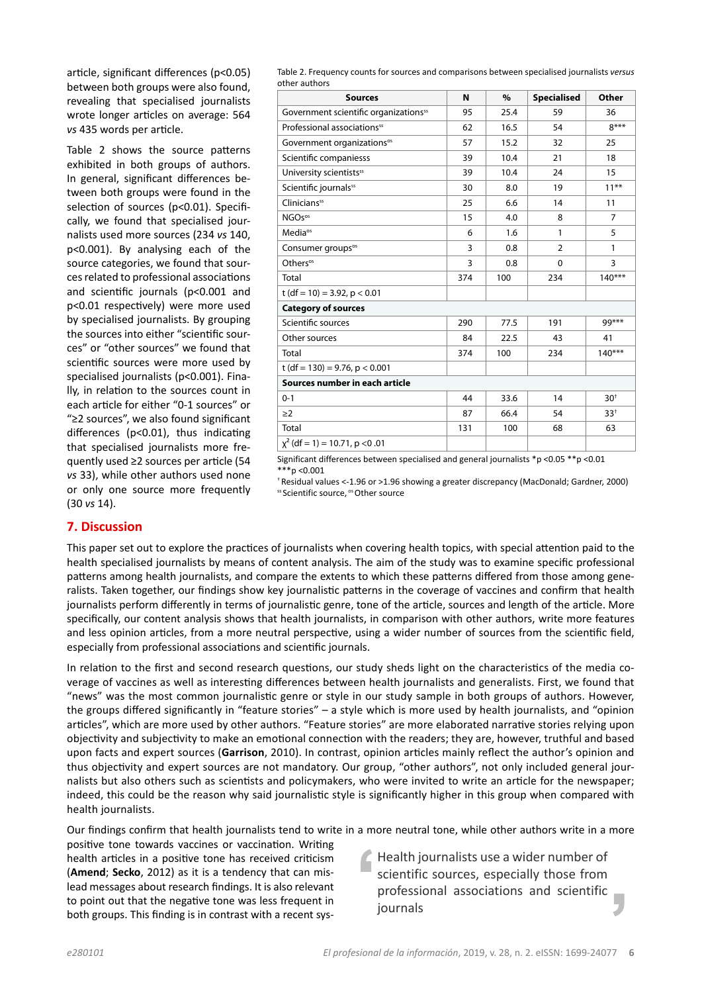article, significant differences (p<0.05) between both groups were also found, revealing that specialised journalists wrote longer articles on average: 564 *vs* 435 words per article.

Table 2 shows the source patterns exhibited in both groups of authors. In general, significant differences between both groups were found in the selection of sources (p<0.01). Specifically, we found that specialised journalists used more sources (234 vs 140, p<0.001). By analysing each of the source categories, we found that sources related to professional associations and scientific journals (p<0.001 and p<0.01 respectively) were more used by specialised journalists. By grouping the sources into either "scientific sources" or "other sources" we found that scientific sources were more used by specialised journalists (p<0.001). Finally, in relation to the sources count in each article for either "0-1 sources" or "≥2 sources", we also found significant differences (p<0.01), thus indicating that specialised journalists more frequently used ≥2 sources per article (54 *vs* 33), while other authors used none or only one source more frequently (30 *vs* 14).

Table 2. Frequency counts for sources and comparisons between specialised journalists versus other authors

| <b>Sources</b>                                    | N   | $\%$ | <b>Specialised</b> | Other          |  |  |
|---------------------------------------------------|-----|------|--------------------|----------------|--|--|
| Government scientific organizations <sup>55</sup> | 95  | 25.4 | 59                 | 36             |  |  |
| Professional associations <sup>55</sup>           | 62  | 16.5 | 54                 | $8***$         |  |  |
| Government organizations <sup>os</sup>            | 57  | 15.2 | 32                 | 25             |  |  |
| Scientific companiesss                            | 39  | 10.4 | 21                 | 18             |  |  |
| University scientists <sup>55</sup>               | 39  | 10.4 | 24                 | 15             |  |  |
| Scientific journals <sup>55</sup>                 | 30  | 8.0  | 19                 | $11***$        |  |  |
| <b>Clinicians</b> <sup>55</sup>                   | 25  | 6.6  | 14                 | 11             |  |  |
| NGO <sub>sos</sub>                                | 15  | 4.0  | 8                  | $\overline{7}$ |  |  |
| Media <sup>os</sup>                               | 6   | 1.6  | $\mathbf{1}$       | 5              |  |  |
| Consumer groups <sup>os</sup>                     | 3   | 0.8  | $\overline{2}$     | 1              |  |  |
| Others <sup>os</sup>                              | 3   | 0.8  | 0                  | 3              |  |  |
| Total                                             | 374 | 100  | 234                | $140***$       |  |  |
| t (df = 10) = 3.92, $p < 0.01$                    |     |      |                    |                |  |  |
| <b>Category of sources</b>                        |     |      |                    |                |  |  |
| Scientific sources                                | 290 | 77.5 | 191                | 99***          |  |  |
| Other sources                                     | 84  | 22.5 | 43                 | 41             |  |  |
| Total                                             | 374 | 100  | 234                | $140***$       |  |  |
| t (df = 130) = 9.76, $p < 0.001$                  |     |      |                    |                |  |  |
| Sources number in each article                    |     |      |                    |                |  |  |
| $0 - 1$                                           | 44  | 33.6 | 14                 | $30^{+}$       |  |  |
| $\geq$ 2                                          | 87  | 66.4 | 54                 | $33^{+}$       |  |  |
| Total                                             | 131 | 100  | 68                 | 63             |  |  |
| $\chi^2$ (df = 1) = 10.71, p < 0.01               |     |      |                    |                |  |  |

Significant differences between specialised and general journalists \*p <0.05 \*\*p <0.01  $***p$  <0.001

+ Residual values <-1.96 or >1.96 showing a greater discrepancy (MacDonald; Gardner, 2000) ss Scientific source, ° Other source

# **7. Discussion**

This paper set out to explore the practices of journalists when covering health topics, with special attention paid to the health specialised journalists by means of content analysis. The aim of the study was to examine specific professional patterns among health journalists, and compare the extents to which these patterns differed from those among generalists. Taken together, our findings show key journalistic patterns in the coverage of vaccines and confirm that health journalists perform differently in terms of journalistic genre, tone of the article, sources and length of the article. More specifically, our content analysis shows that health journalists, in comparison with other authors, write more features and less opinion articles, from a more neutral perspective, using a wider number of sources from the scientific field, especially from professional associations and scientific journals.

In relation to the first and second research questions, our study sheds light on the characteristics of the media coverage of vaccines as well as interesting differences between health journalists and generalists. First, we found that "news" was the most common journalistic genre or style in our study sample in both groups of authors. However, the groups differed significantly in "feature stories" – a style which is more used by health journalists, and "opinion articles", which are more used by other authors. "Feature stories" are more elaborated narrative stories relying upon objectivity and subjectivity to make an emotional connection with the readers; they are, however, truthful and based upon facts and expert sources (Garrison, 2010). In contrast, opinion articles mainly reflect the author's opinion and thus objectivity and expert sources are not mandatory. Our group, "other authors", not only included general journalists but also others such as scientists and policymakers, who were invited to write an article for the newspaper; indeed, this could be the reason why said journalistic style is significantly higher in this group when compared with health journalists.

Our findings confirm that health journalists tend to write in a more neutral tone, while other authors write in a more

positive tone towards vaccines or vaccination. Writing health articles in a positive tone has received criticism (**Amend**; Secko, 2012) as it is a tendency that can mislead messages about research findings. It is also relevant to point out that the negative tone was less frequent in both groups. This finding is in contrast with a recent sys-

Health journalists use a wider number of scientific sources, especially those from professional associations and scientific r. journals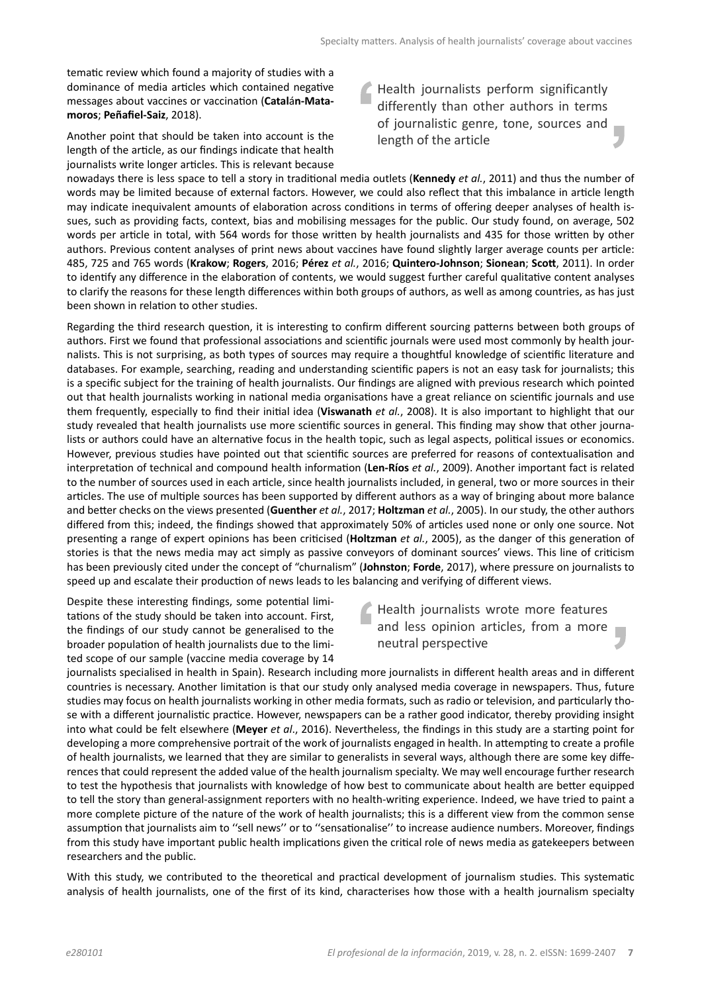tematic review which found a majority of studies with a dominance of media articles which contained negative messages about vaccines or vaccination (Catalán-Matamoros; Peñafiel-Saiz, 2018).

Another point that should be taken into account is the length of the article, as our findings indicate that health journalists write longer articles. This is relevant because Health journalists perform significantly differently than other authors in terms of journalistic genre, tone, sources and r. length of the article

nowadays there is less space to tell a story in traditional media outlets (Kennedy *et al.*, 2011) and thus the number of words may be limited because of external factors. However, we could also reflect that this imbalance in article length may indicate inequivalent amounts of elaboration across conditions in terms of offering deeper analyses of health issues, such as providing facts, context, bias and mobilising messages for the public. Our study found, on average, 502 words per article in total, with 564 words for those written by health journalists and 435 for those written by other authors. Previous content analyses of print news about vaccines have found slightly larger average counts per article: 485, 725 and 765 words (Krakow; Rogers, 2016; Pérez et al., 2016; Quintero-Johnson; Sionean; Scott, 2011). In order to identify any difference in the elaboration of contents, we would suggest further careful qualitative content analyses to clarify the reasons for these length differences within both groups of authors, as well as among countries, as has just been shown in relation to other studies.

Regarding the third research question, it is interesting to confirm different sourcing patterns between both groups of authors. First we found that professional associations and scientific journals were used most commonly by health journalists. This is not surprising, as both types of sources may require a thoughtful knowledge of scientific literature and databases. For example, searching, reading and understanding scientific papers is not an easy task for journalists; this is a specific subject for the training of health journalists. Our findings are aligned with previous research which pointed out that health journalists working in national media organisations have a great reliance on scientific journals and use them frequently, especially to find their initial idea (Viswanath *et al.*, 2008). It is also important to highlight that our study revealed that health journalists use more scientific sources in general. This finding may show that other journalists or authors could have an alternative focus in the health topic, such as legal aspects, political issues or economics. However, previous studies have pointed out that scientific sources are preferred for reasons of contextualisation and interpretation of technical and compound health information (Len-Ríos *et al.*, 2009). Another important fact is related to the number of sources used in each article, since health journalists included, in general, two or more sources in their articles. The use of multiple sources has been supported by different authors as a way of bringing about more balance and better checks on the views presented (Guenther *et al.*, 2017; Holtzman *et al.*, 2005). In our study, the other authors differed from this; indeed, the findings showed that approximately 50% of articles used none or only one source. Not presenting a range of expert opinions has been criticised (Holtzman *et al.*, 2005), as the danger of this generation of stories is that the news media may act simply as passive convevors of dominant sources' views. This line of criticism has been previously cited under the concept of "churnalism" (Johnston; Forde, 2017), where pressure on journalists to speed up and escalate their production of news leads to les balancing and verifying of different views.

Despite these interesting findings, some potential limitations of the study should be taken into account. First, the findings of our study cannot be generalised to the broader population of health journalists due to the limited scope of our sample (vaccine media coverage by 14

# Health journalists wrote more features and less opinion articles, from a more neutral perspective

journalists specialised in health in Spain). Research including more journalists in different health areas and in different countries is necessary. Another limitation is that our study only analysed media coverage in newspapers. Thus, future studies may focus on health journalists working in other media formats, such as radio or television, and particularly those with a different journalistic practice. However, newspapers can be a rather good indicator, thereby providing insight into what could be felt elsewhere (Meyer *et al.*, 2016). Nevertheless, the findings in this study are a starting point for developing a more comprehensive portrait of the work of journalists engaged in health. In attempting to create a profile of health journalists, we learned that they are similar to generalists in several ways, although there are some key differences that could represent the added value of the health journalism specialty. We may well encourage further research to test the hypothesis that journalists with knowledge of how best to communicate about health are better equipped to tell the story than general-assignment reporters with no health-writing experience. Indeed, we have tried to paint a more complete picture of the nature of the work of health journalists; this is a different view from the common sense assumption that journalists aim to "sell news" or to "sensationalise" to increase audience numbers. Moreover, findings from this study have important public health implications given the critical role of news media as gatekeepers between researchers and the public.

With this study, we contributed to the theoretical and practical development of journalism studies. This systematic analysis of health journalists, one of the first of its kind, characterises how those with a health journalism specialty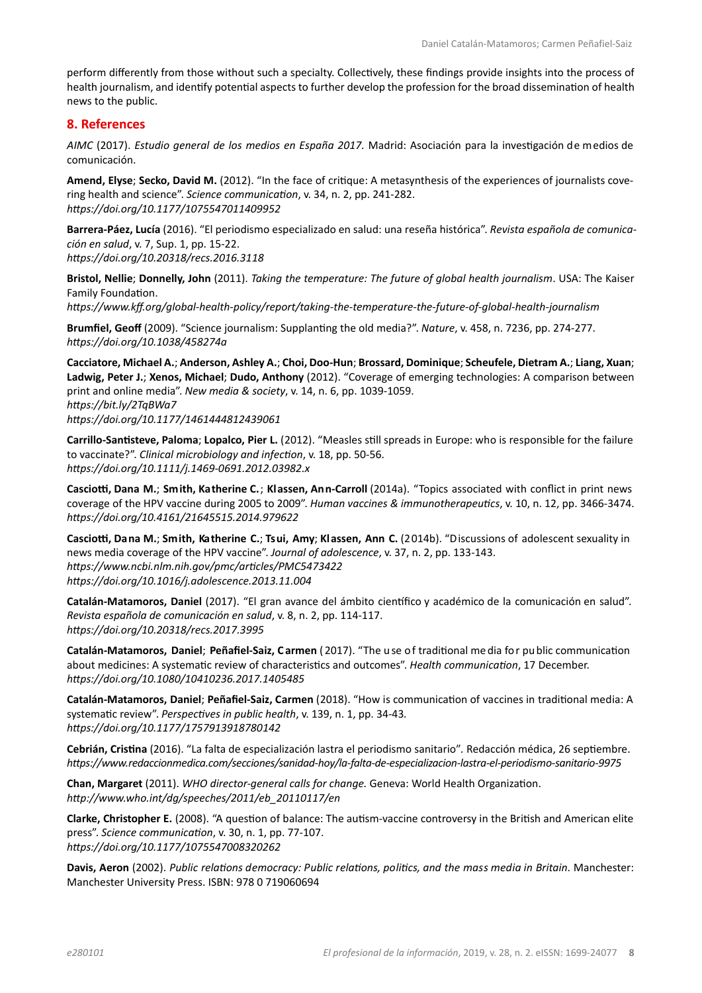perform differently from those without such a specialty. Collectively, these findings provide insights into the process of health journalism, and identify potential aspects to further develop the profession for the broad dissemination of health news to the public.

#### **8. References**

*AIMC* (2017). *Estudio general de los medios en España 2017.* Madrid: Asociación para la investigación de medios de comunicación.

Amend, Elyse; Secko, David M. (2012). "In the face of critique: A metasynthesis of the experiences of journalists covering health and science". Science communication, v. 34, n. 2, pp. 241-282. *https://doi.org/10.1177/1075547011409952* 

Barrera-Páez, Lucía (2016). "El periodismo especializado en salud: una reseña histórica". Revista española de comunica*ción en salud*, v. 7, Sup. 1, pp. 15-22. *https://doi.org/10.20318/recs.2016.3118* 

Bristol, Nellie; Donnelly, John (2011). *Taking the temperature: The future of global health journalism*. USA: The Kaiser Family Foundation.

*https://www.kff.org/global-health-policy/report/taking-the-temperature-the-future-of-global-health-journalism* 

Brumfiel, Geoff (2009). "Science journalism: Supplanting the old media?". Nature, v. 458, n. 7236, pp. 274-277. *https://doi.org/10.1038/458274a* 

**Cacciatore, Michael A.**; **Anderson, Ashley A.**; **Choi, Doo-Hun**; **Brossard, Dominique**; **Scheufele, Dietram A.**; **Liang, Xuan**; Ladwig, Peter J.; Xenos, Michael; Dudo, Anthony (2012). "Coverage of emerging technologies: A comparison between print and online media". New media & society, v. 14, n. 6, pp. 1039-1059. *https://bit.ly/2TqBWa7 https://doi.org/10.1177/1461444812439061* 

Carrillo-Santisteve, Paloma; Lopalco, Pier L. (2012). "Measles still spreads in Europe: who is responsible for the failure to vaccinate?". Clinical microbiology and infection, v. 18, pp. 50-56. *https://doi.org/10.1111/j.1469-0691.2012.03982.x* 

Casciotti, Dana M.; Smith, Katherine C.; Klassen, Ann-Carroll (2014a). "Topics associated with conflict in print news coverage of the HPV vaccine during 2005 to 2009". Human vaccines & immunotherapeutics, v. 10, n. 12, pp. 3466-3474. *https://doi.org/10.4161/21645515.2014.979622* 

Casciotti, Dana M.; Smith, Katherine C.; Tsui, Amy; Klassen, Ann C. (2014b). "Discussions of adolescent sexuality in hews media coverage of the HPV vaccine". Journal of adolescence, v. 37, n. 2, pp. 133-143. *https://www.ncbi.nlm.nih.gov/pmc/articles/PMC5473422 https://doi.org/10.1016/j.adolescence.2013.11.004* 

Catalán-Matamoros, Daniel (2017). "El gran avance del ámbito científico y académico de la comunicación en salud". *ZĞǀŝƐƚĂĞƐƉĂŹŽůĂĚĞĐŽŵƵŶŝĐĂĐŝſŶĞŶƐĂůƵĚ*, v. 8, n. 2, pp. 114-117. *https://doi.org/10.20318/recs.2017.3995* 

Catalán-Matamoros, Daniel; Peñafiel-Saiz, Carmen (2017). "The use of traditional me dia for public communication about medicines: A systematic review of characteristics and outcomes". Health communication, 17 December. *ŚƩƉƐ͗ͬͬĚŽŝ͘ŽƌŐͬϭϬ͘ϭϬϴϬͬϭϬϰϭϬϮϯϲ͘ϮϬϭϳ͘ϭϰϬϱϰϴϱ*

Catalán-Matamoros, Daniel; Peñafiel-Saiz, Carmen (2018). "How is communication of vaccines in traditional media: A systematic review". Perspectives in public health, v. 139, n. 1, pp. 34-43. *https://doi.org/10.1177/1757913918780142* 

Cebrián, Cristina (2016). "La falta de especialización lastra el periodismo sanitario". Redacción médica, 26 septiembre. https://www.redaccionmedica.com/secciones/sanidad-hoy/la-falta-de-especializacion-lastra-el-periodismo-sanitario-9975

**Chan, Margaret** (2011). *WHO director-general calls for change.* Geneva: World Health Organization. *http://www.who.int/dg/speeches/2011/eb 20110117/en* 

Clarke, Christopher E. (2008). "A question of balance: The autism-vaccine controversy in the British and American elite press". Science communication, v. 30, n. 1, pp. 77-107. *ŚƩƉƐ͗ͬͬĚŽŝ͘ŽƌŐͬϭϬ͘ϭϭϳϳͬϭϬϳϱϱϰϳϬϬϴϯϮϬϮϲϮ*

Davis, Aeron (2002). Public relations democracy: Public relations, politics, and the mass media in Britain. Manchester: Manchester University Press. ISBN: 978 0 719060694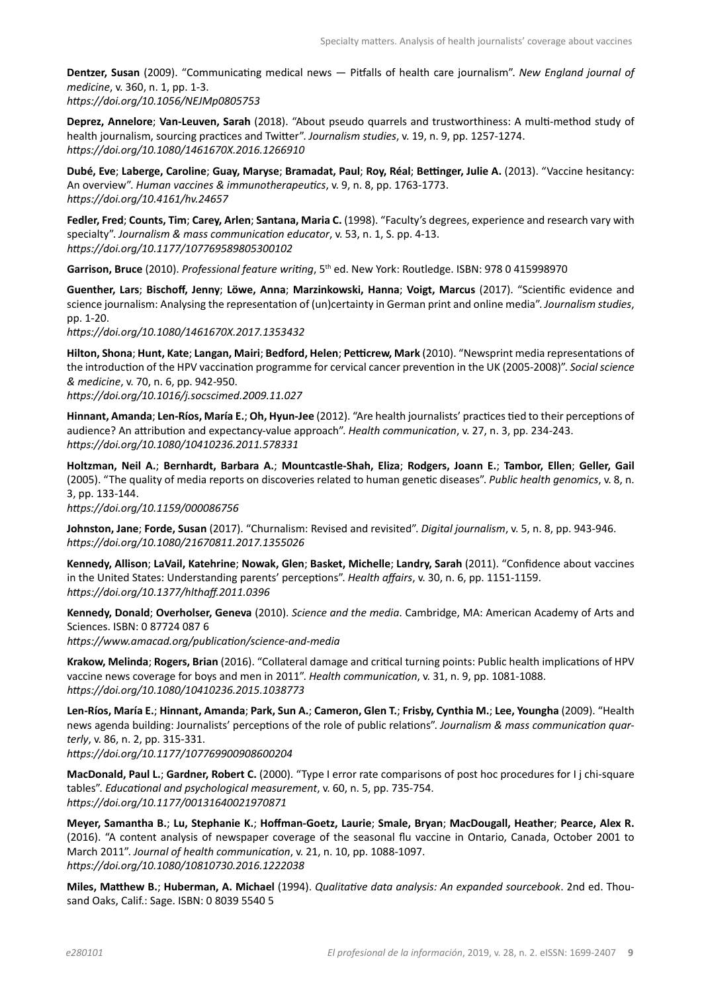Dentzer, Susan (2009). "Communicating medical news - Pitfalls of health care journalism". New England journal of *medicine*, v. 360, n. 1, pp. 1-3. *https://doi.org/10.1056/NEJMp0805753* 

Deprez, Annelore; Van-Leuven, Sarah (2018). "About pseudo quarrels and trustworthiness: A multi-method study of health journalism, sourcing practices and Twitter". Journalism studies, v. 19, n. 9, pp. 1257-1274. *https://doi.org/10.1080/1461670X.2016.1266910* 

**Dubé, Eve; Laberge, Caroline; Guay, Maryse; Bramadat, Paul; Roy, Réal; Bettinger, Julie A. (2013). "Vaccine hesitancy:** An overview". Human vaccines & immunotherapeutics, v. 9, n. 8, pp. 1763-1773. *https://doi.org/10.4161/hv.24657* 

Fedler, Fred; Counts, Tim; Carey, Arlen; Santana, Maria C. (1998). "Faculty's degrees, experience and research vary with ƐƉĞĐŝĂůƚLJ͘͟*:ŽƵƌŶĂůŝƐŵΘŵĂƐƐĐŽŵŵƵŶŝĐĂƟŽŶĞĚƵĐĂƚŽƌ*, v. 53, n. 1, S. pp. 4-13. *https://doi.org/10.1177/107769589805300102* 

Garrison, Bruce (2010). *Professional feature writing*, 5<sup>th</sup> ed. New York: Routledge. ISBN: 978 0 415998970

Guenther, Lars; Bischoff, Jenny; Löwe, Anna; Marzinkowski, Hanna; Voigt, Marcus (2017). "Scientific evidence and science journalism: Analysing the representation of (un)certainty in German print and online media". Journalism studies, pp. 1-20.

https://doi.org/10.1080/1461670X.2017.1353432

**Hilton, Shona; Hunt, Kate; Langan, Mairi; Bedford, Helen; Petticrew, Mark (2010). "Newsprint media representations of** the introduction of the HPV vaccination programme for cervical cancer prevention in the UK (2005-2008)". Social science *& medicine*, v. 70, n. 6, pp. 942-950.

https://doi.org/10.1016/j.socscimed.2009.11.027

**Hinnant, Amanda; Len-Ríos, María E.; Oh, Hyun-Jee (2012). "Are health journalists' practices tied to their perceptions of** audience? An attribution and expectancy-value approach". Health communication, v. 27, n. 3, pp. 234-243. *https://doi.org/10.1080/10410236.2011.578331* 

**Holtzman, Neil A.**; **Bernhardt, Barbara A.**; **Mountcastle-Shah, Eliza**; **Rodgers, Joann E.**; **Tambor, Ellen**; **Geller, Gail**  (2005). "The quality of media reports on discoveries related to human genetic diseases". Public health genomics, v. 8, n. 3, pp. 133-144.

*https://doi.org/10.1159/000086756* 

Johnston, Jane; Forde, Susan (2017). "Churnalism: Revised and revisited". *Digital journalism*, v. 5, n. 8, pp. 943-946. *ŚƩƉƐ͗ͬͬĚŽŝ͘ŽƌŐͬϭϬ͘ϭϬϴϬͬϮϭϲϳϬϴϭϭ͘ϮϬϭϳ͘ϭϯϱϱϬϮϲ*

Kennedy, Allison; LaVail, Katehrine; Nowak, Glen; Basket, Michelle; Landry, Sarah (2011). "Confidence about vaccines in the United States: Understanding parents' perceptions". Health affairs, v. 30, n. 6, pp. 1151-1159. *https://doi.org/10.1377/hlthaff.2011.0396* 

Kennedy, Donald; Overholser, Geneva (2010). *Science and the media*. Cambridge, MA: American Academy of Arts and Sciences. ISBN: 0 87724 087 6 *https://www.amacad.org/publication/science-and-media* 

Krakow, Melinda; Rogers, Brian (2016). "Collateral damage and critical turning points: Public health implications of HPV vaccine news coverage for boys and men in 2011". Health communication, v. 31, n. 9, pp. 1081-1088. *https://doi.org/10.1080/10410236.2015.1038773* 

Len-Ríos, María E.; Hinnant, Amanda; Park, Sun A.; Cameron, Glen T.; Frisby, Cynthia M.; Lee, Youngha (2009). "Health news agenda building: Journalists' perceptions of the role of public relations". Journalism & mass communication quar*terly*, v. 86, n. 2, pp. 315-331.

*https://doi.org/10.1177/107769900908600204* 

**MacDonald, Paul L.; Gardner, Robert C.** (2000). "Type I error rate comparisons of post hoc procedures for I j chi-square tables". Educational and psychological measurement, v. 60, n. 5, pp. 735-754. *https://doi.org/10.1177/00131640021970871* 

**Meyer, Samantha B.**; **Lu, Stephanie K.**;**,ŽīŵĂŶͲ'ŽĞƚnj͕>ĂƵƌŝĞ**; **Smale, Bryan**; **MacDougall, Heather**; **Pearce, Alex R.** (2016). "A content analysis of newspaper coverage of the seasonal flu vaccine in Ontario, Canada, October 2001 to March 2011". Journal of health communication, v. 21, n. 10, pp. 1088-1097. *https://doi.org/10.1080/10810730.2016.1222038* 

**Miles, Matthew B.; Huberman, A. Michael** (1994). *Qualitative data analysis: An expanded sourcebook*. 2nd ed. Thousand Oaks, Calif.: Sage. ISBN: 0 8039 5540 5